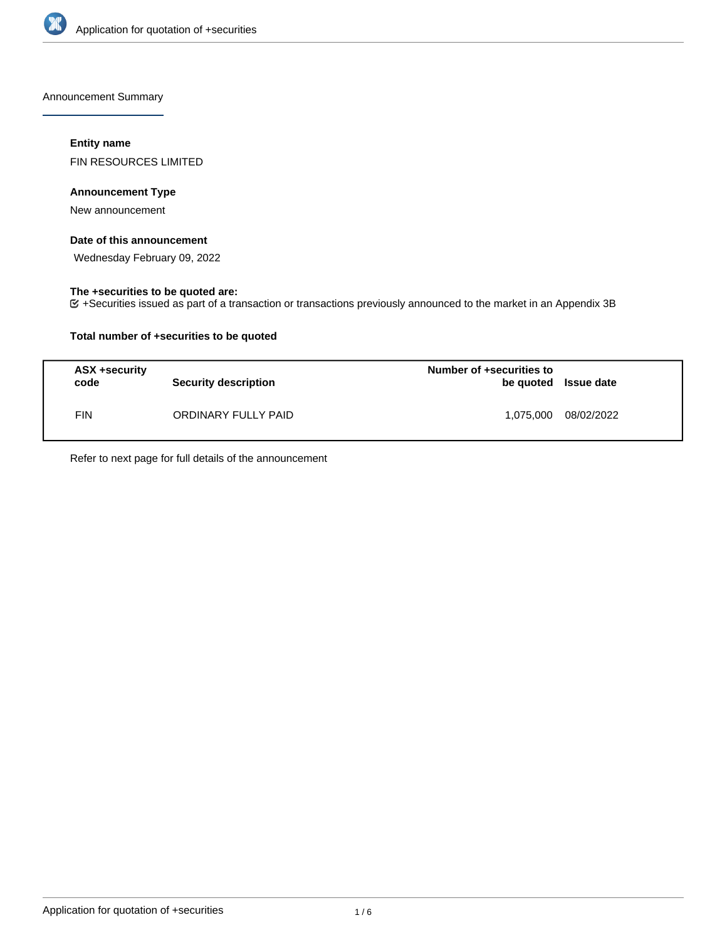

Announcement Summary

# **Entity name**

FIN RESOURCES LIMITED

## **Announcement Type**

New announcement

# **Date of this announcement**

Wednesday February 09, 2022

# **The +securities to be quoted are:**

+Securities issued as part of a transaction or transactions previously announced to the market in an Appendix 3B

# **Total number of +securities to be quoted**

| ASX +security<br>code | <b>Security description</b> | Number of +securities to<br>be quoted Issue date |            |
|-----------------------|-----------------------------|--------------------------------------------------|------------|
| FIN                   | ORDINARY FULLY PAID         | 1.075.000                                        | 08/02/2022 |

Refer to next page for full details of the announcement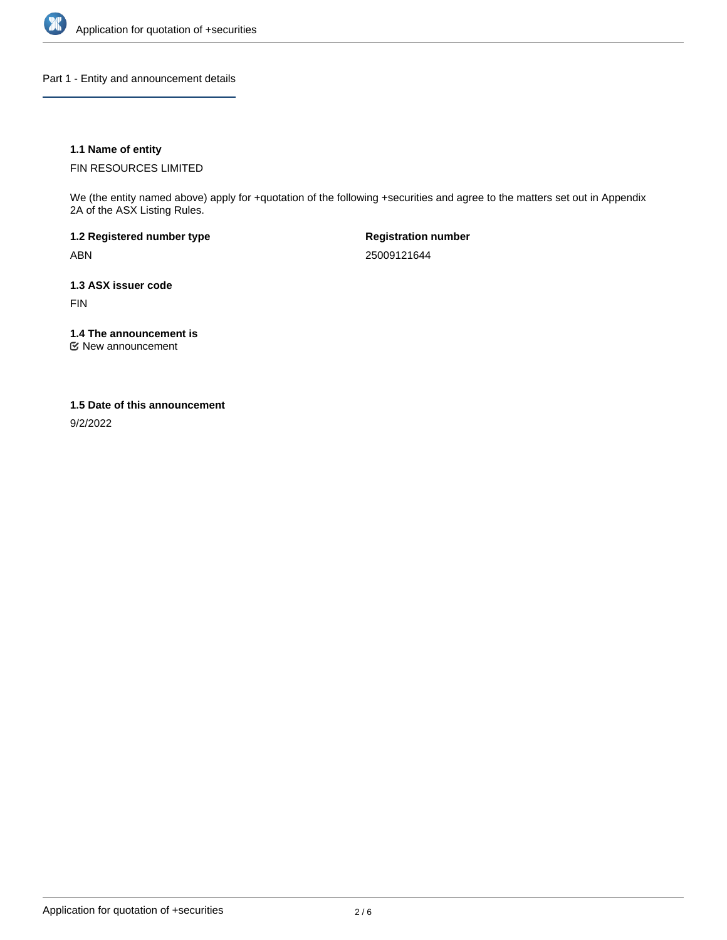

Part 1 - Entity and announcement details

# **1.1 Name of entity**

FIN RESOURCES LIMITED

We (the entity named above) apply for +quotation of the following +securities and agree to the matters set out in Appendix 2A of the ASX Listing Rules.

**1.2 Registered number type** ABN

**Registration number** 25009121644

**1.3 ASX issuer code**

FIN

**1.4 The announcement is**

New announcement

## **1.5 Date of this announcement**

9/2/2022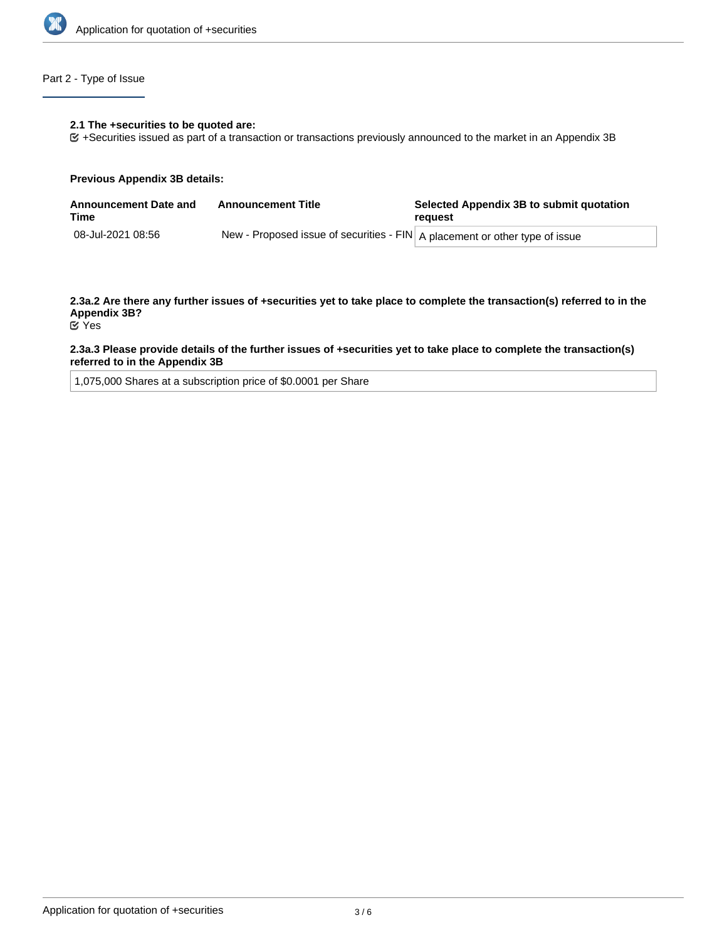

# Part 2 - Type of Issue

#### **2.1 The +securities to be quoted are:**

+Securities issued as part of a transaction or transactions previously announced to the market in an Appendix 3B

#### **Previous Appendix 3B details:**

| <b>Announcement Date and</b><br>Time | <b>Announcement Title</b>                                                     | Selected Appendix 3B to submit quotation<br>reauest |  |
|--------------------------------------|-------------------------------------------------------------------------------|-----------------------------------------------------|--|
| 08-Jul-2021 08:56                    | New - Proposed issue of securities - FIN   A placement or other type of issue |                                                     |  |

**2.3a.2 Are there any further issues of +securities yet to take place to complete the transaction(s) referred to in the Appendix 3B?** Yes

## **2.3a.3 Please provide details of the further issues of +securities yet to take place to complete the transaction(s) referred to in the Appendix 3B**

1,075,000 Shares at a subscription price of \$0.0001 per Share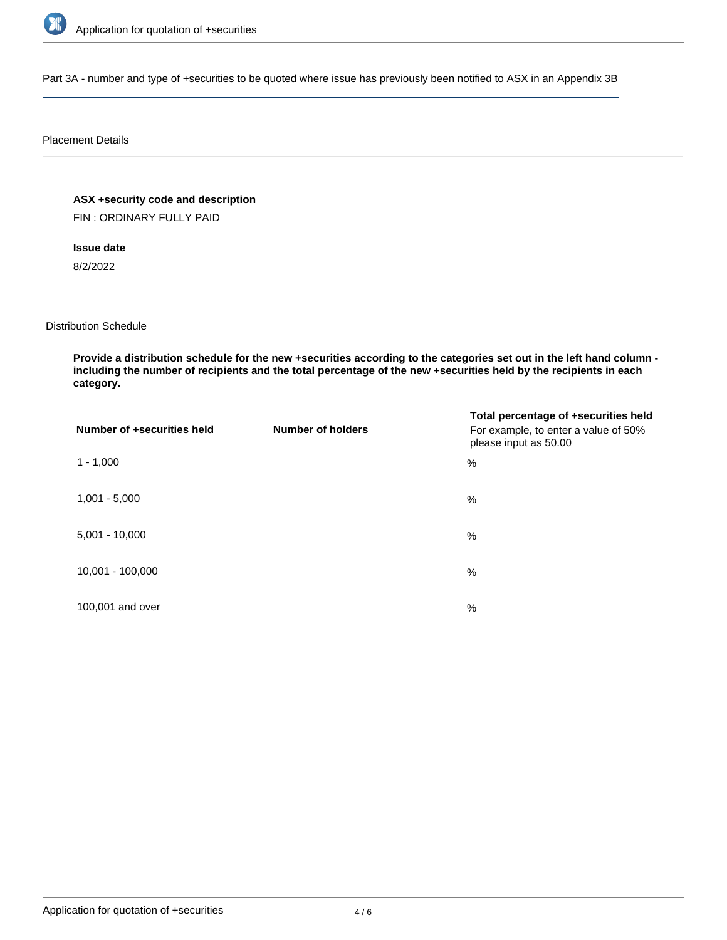

Part 3A - number and type of +securities to be quoted where issue has previously been notified to ASX in an Appendix 3B

### Placement Details

**ASX +security code and description**

FIN : ORDINARY FULLY PAID

# **Issue date**

8/2/2022

## Distribution Schedule

**Provide a distribution schedule for the new +securities according to the categories set out in the left hand column including the number of recipients and the total percentage of the new +securities held by the recipients in each category.**

| Number of +securities held | <b>Number of holders</b> | Total percentage of +securities held<br>For example, to enter a value of 50%<br>please input as 50.00 |
|----------------------------|--------------------------|-------------------------------------------------------------------------------------------------------|
| $1 - 1,000$                |                          | $\%$                                                                                                  |
| $1,001 - 5,000$            |                          | $\%$                                                                                                  |
| $5,001 - 10,000$           |                          | $\frac{0}{0}$                                                                                         |
| 10,001 - 100,000           |                          | $\frac{0}{0}$                                                                                         |
| 100,001 and over           |                          | %                                                                                                     |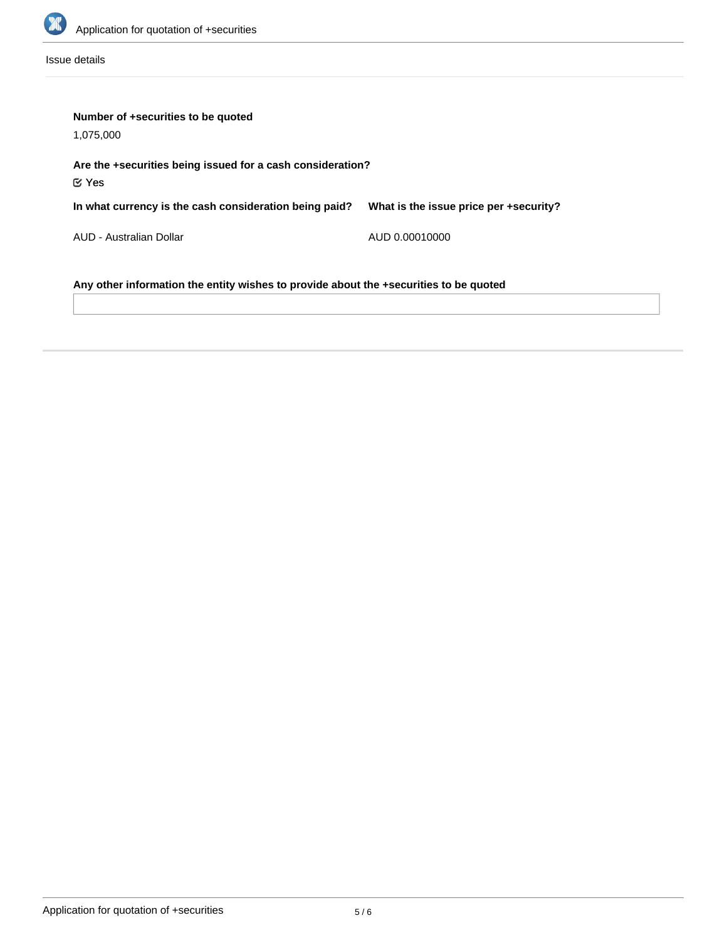

Issue details

| Number of +securities to be quoted<br>1,075,000                                       |                                        |  |  |  |
|---------------------------------------------------------------------------------------|----------------------------------------|--|--|--|
| Are the +securities being issued for a cash consideration?<br>$\mathfrak C$ Yes       |                                        |  |  |  |
| In what currency is the cash consideration being paid?                                | What is the issue price per +security? |  |  |  |
| AUD - Australian Dollar                                                               | AUD 0.00010000                         |  |  |  |
| Any other information the entity wishes to provide about the +securities to be quoted |                                        |  |  |  |